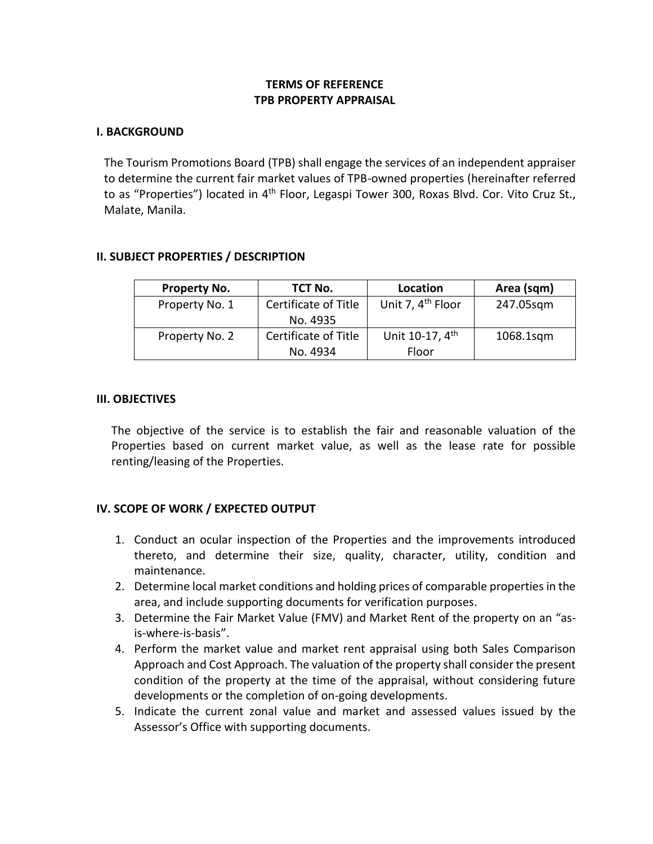## **TERMS OF REFERENCE TPB PROPERTY APPRAISAL**

#### **I. BACKGROUND**

The Tourism Promotions Board (TPB) shall engage the services of an independent appraiser to determine the current fair market values of TPB-owned properties (hereinafter referred to as "Properties") located in 4<sup>th</sup> Floor, Legaspi Tower 300, Roxas Blvd. Cor. Vito Cruz St., Malate, Manila.

#### **II. SUBJECT PROPERTIES / DESCRIPTION**

| Property No.   | TCT No.              | Location                      | Area (sqm) |
|----------------|----------------------|-------------------------------|------------|
| Property No. 1 | Certificate of Title | Unit 7, 4 <sup>th</sup> Floor | 247.05sqm  |
|                | No. 4935             |                               |            |
| Property No. 2 | Certificate of Title | Unit 10-17, 4 <sup>th</sup>   | 1068.1sqm  |
|                | No. 4934             | Floor                         |            |

#### **III. OBJECTIVES**

The objective of the service is to establish the fair and reasonable valuation of the Properties based on current market value, as well as the lease rate for possible renting/leasing of the Properties.

#### **IV. SCOPE OF WORK / EXPECTED OUTPUT**

- 1. Conduct an ocular inspection of the Properties and the improvements introduced thereto, and determine their size, quality, character, utility, condition and maintenance.
- 2. Determine local market conditions and holding prices of comparable properties in the area, and include supporting documents for verification purposes.
- 3. Determine the Fair Market Value (FMV) and Market Rent of the property on an "asis-where-is-basis".
- 4. Perform the market value and market rent appraisal using both Sales Comparison Approach and Cost Approach. The valuation of the property shall consider the present condition of the property at the time of the appraisal, without considering future developments or the completion of on-going developments.
- 5. Indicate the current zonal value and market and assessed values issued by the Assessor's Office with supporting documents.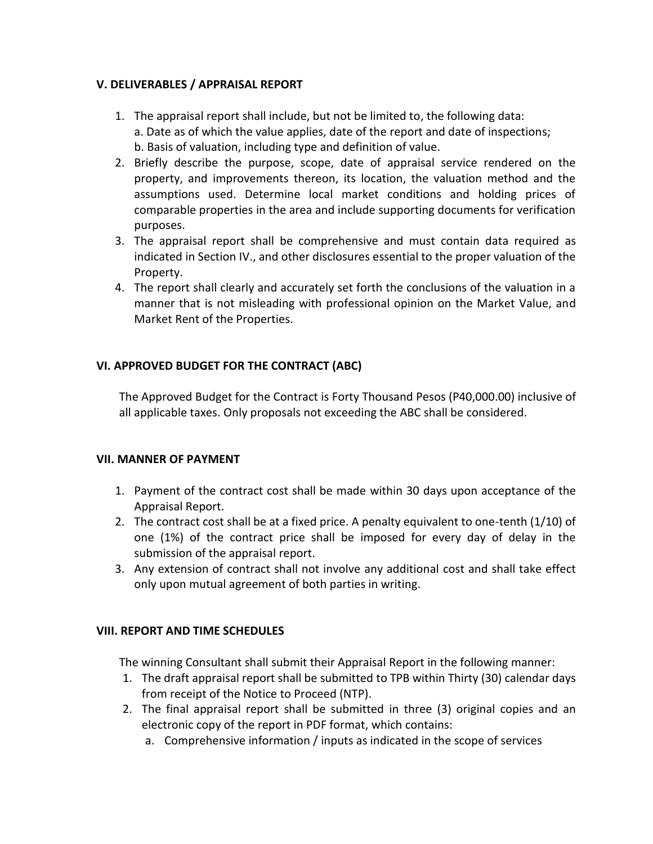### **V. DELIVERABLES / APPRAISAL REPORT**

- 1. The appraisal report shall include, but not be limited to, the following data: a. Date as of which the value applies, date of the report and date of inspections; b. Basis of valuation, including type and definition of value.
- 2. Briefly describe the purpose, scope, date of appraisal service rendered on the property, and improvements thereon, its location, the valuation method and the assumptions used. Determine local market conditions and holding prices of comparable properties in the area and include supporting documents for verification purposes.
- 3. The appraisal report shall be comprehensive and must contain data required as indicated in Section IV., and other disclosures essential to the proper valuation of the Property.
- 4. The report shall clearly and accurately set forth the conclusions of the valuation in a manner that is not misleading with professional opinion on the Market Value, and Market Rent of the Properties.

## **VI. APPROVED BUDGET FOR THE CONTRACT (ABC)**

The Approved Budget for the Contract is Forty Thousand Pesos (P40,000.00) inclusive of all applicable taxes. Only proposals not exceeding the ABC shall be considered.

## **VII. MANNER OF PAYMENT**

- 1. Payment of the contract cost shall be made within 30 days upon acceptance of the Appraisal Report.
- 2. The contract cost shall be at a fixed price. A penalty equivalent to one-tenth (1/10) of one (1%) of the contract price shall be imposed for every day of delay in the submission of the appraisal report.
- 3. Any extension of contract shall not involve any additional cost and shall take effect only upon mutual agreement of both parties in writing.

#### **VIII. REPORT AND TIME SCHEDULES**

The winning Consultant shall submit their Appraisal Report in the following manner:

- 1. The draft appraisal report shall be submitted to TPB within Thirty (30) calendar days from receipt of the Notice to Proceed (NTP).
- 2. The final appraisal report shall be submitted in three (3) original copies and an electronic copy of the report in PDF format, which contains:
	- a. Comprehensive information / inputs as indicated in the scope of services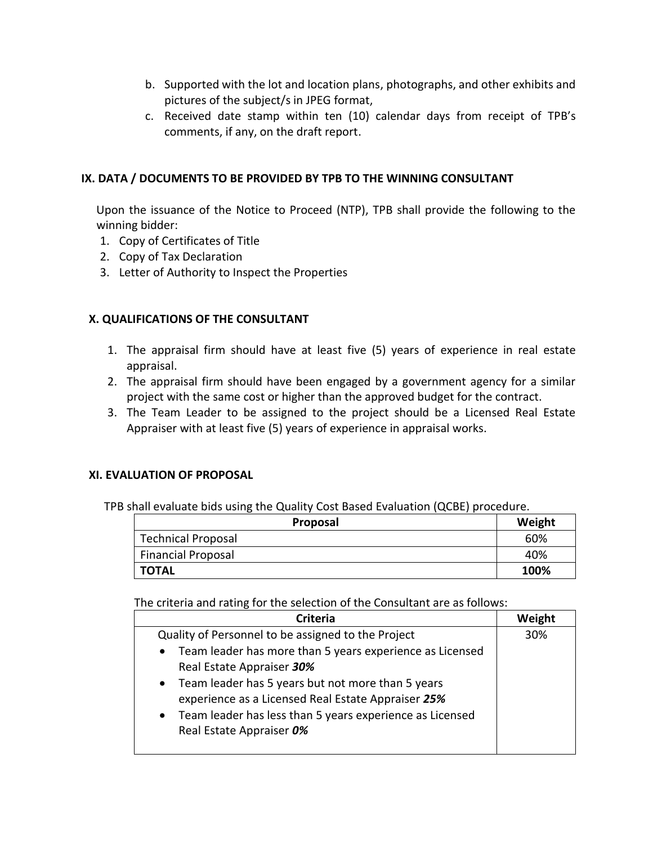- b. Supported with the lot and location plans, photographs, and other exhibits and pictures of the subject/s in JPEG format,
- c. Received date stamp within ten (10) calendar days from receipt of TPB's comments, if any, on the draft report.

## **IX. DATA / DOCUMENTS TO BE PROVIDED BY TPB TO THE WINNING CONSULTANT**

Upon the issuance of the Notice to Proceed (NTP), TPB shall provide the following to the winning bidder:

- 1. Copy of Certificates of Title
- 2. Copy of Tax Declaration
- 3. Letter of Authority to Inspect the Properties

## **X. QUALIFICATIONS OF THE CONSULTANT**

- 1. The appraisal firm should have at least five (5) years of experience in real estate appraisal.
- 2. The appraisal firm should have been engaged by a government agency for a similar project with the same cost or higher than the approved budget for the contract.
- 3. The Team Leader to be assigned to the project should be a Licensed Real Estate Appraiser with at least five (5) years of experience in appraisal works.

## **XI. EVALUATION OF PROPOSAL**

TPB shall evaluate bids using the Quality Cost Based Evaluation (QCBE) procedure.

| Proposal                  | Weight |
|---------------------------|--------|
| <b>Technical Proposal</b> | 60%    |
| <b>Financial Proposal</b> | 40%    |
| <b>TOTAL</b>              | 100%   |

The criteria and rating for the selection of the Consultant are as follows:

| Weight |
|--------|
| 30%    |
|        |
|        |
|        |
|        |
|        |
|        |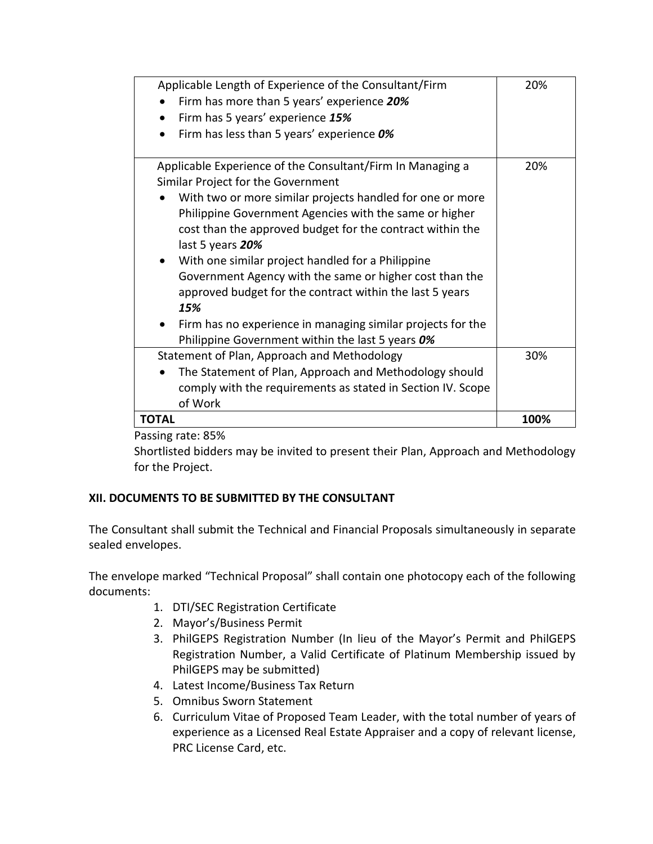| Applicable Length of Experience of the Consultant/Firm                                                                                                                                                            | 20%  |
|-------------------------------------------------------------------------------------------------------------------------------------------------------------------------------------------------------------------|------|
| Firm has more than 5 years' experience 20%                                                                                                                                                                        |      |
| Firm has 5 years' experience 15%<br>$\bullet$                                                                                                                                                                     |      |
| Firm has less than 5 years' experience 0%                                                                                                                                                                         |      |
| Applicable Experience of the Consultant/Firm In Managing a<br>Similar Project for the Government                                                                                                                  | 20%  |
| With two or more similar projects handled for one or more<br>$\bullet$<br>Philippine Government Agencies with the same or higher<br>cost than the approved budget for the contract within the<br>last 5 years 20% |      |
| With one similar project handled for a Philippine<br>Government Agency with the same or higher cost than the<br>approved budget for the contract within the last 5 years<br>15%                                   |      |
| Firm has no experience in managing similar projects for the<br>Philippine Government within the last 5 years 0%                                                                                                   |      |
| Statement of Plan, Approach and Methodology                                                                                                                                                                       | 30%  |
| The Statement of Plan, Approach and Methodology should<br>comply with the requirements as stated in Section IV. Scope<br>of Work                                                                                  |      |
| <b>TOTAL</b>                                                                                                                                                                                                      | 100% |

Passing rate: 85%

Shortlisted bidders may be invited to present their Plan, Approach and Methodology for the Project.

# **XII. DOCUMENTS TO BE SUBMITTED BY THE CONSULTANT**

The Consultant shall submit the Technical and Financial Proposals simultaneously in separate sealed envelopes.

The envelope marked "Technical Proposal" shall contain one photocopy each of the following documents:

- 1. DTI/SEC Registration Certificate
- 2. Mayor's/Business Permit
- 3. PhilGEPS Registration Number (In lieu of the Mayor's Permit and PhilGEPS Registration Number, a Valid Certificate of Platinum Membership issued by PhilGEPS may be submitted)
- 4. Latest Income/Business Tax Return
- 5. Omnibus Sworn Statement
- 6. Curriculum Vitae of Proposed Team Leader, with the total number of years of experience as a Licensed Real Estate Appraiser and a copy of relevant license, PRC License Card, etc.